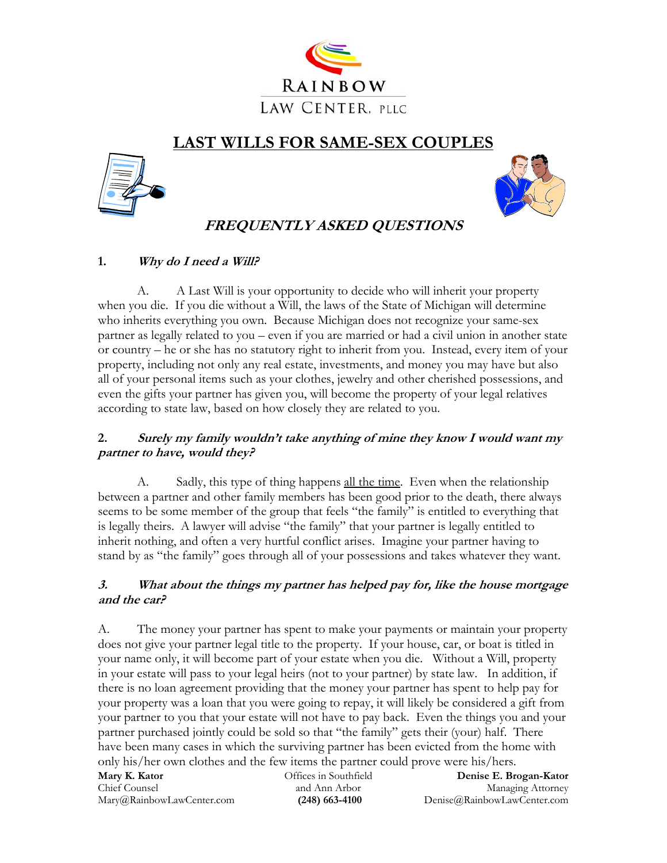

# **LAST WILLS FOR SAME-SEX COUPLES**





## **FREQUENTLY ASKED QUESTIONS**

### **1. Why do I need a Will?**

A. A Last Will is your opportunity to decide who will inherit your property when you die. If you die without a Will, the laws of the State of Michigan will determine who inherits everything you own. Because Michigan does not recognize your same-sex partner as legally related to you – even if you are married or had a civil union in another state or country – he or she has no statutory right to inherit from you. Instead, every item of your property, including not only any real estate, investments, and money you may have but also all of your personal items such as your clothes, jewelry and other cherished possessions, and even the gifts your partner has given you, will become the property of your legal relatives according to state law, based on how closely they are related to you.

## **2. Surely my family wouldn't take anything of mine they know I would want my partner to have, would they?**

A. Sadly, this type of thing happens all the time. Even when the relationship between a partner and other family members has been good prior to the death, there always seems to be some member of the group that feels "the family" is entitled to everything that is legally theirs. A lawyer will advise "the family" that your partner is legally entitled to inherit nothing, and often a very hurtful conflict arises. Imagine your partner having to stand by as "the family" goes through all of your possessions and takes whatever they want.

## **3. What about the things my partner has helped pay for, like the house mortgage and the car?**

A. The money your partner has spent to make your payments or maintain your property does not give your partner legal title to the property. If your house, car, or boat is titled in your name only, it will become part of your estate when you die. Without a Will, property in your estate will pass to your legal heirs (not to your partner) by state law. In addition, if there is no loan agreement providing that the money your partner has spent to help pay for your property was a loan that you were going to repay, it will likely be considered a gift from your partner to you that your estate will not have to pay back. Even the things you and your partner purchased jointly could be sold so that "the family" gets their (your) half. There have been many cases in which the surviving partner has been evicted from the home with only his/her own clothes and the few items the partner could prove were his/hers.

| Mary K. Kator             | Offices in Southfield | Denise E. Brogan-Kator      |
|---------------------------|-----------------------|-----------------------------|
| Chief Counsel             | and Ann Arbor         | Managing Attorney           |
| Mary@RainbowLawCenter.com | $(248)$ 663-4100      | Denise@RainbowLawCenter.com |